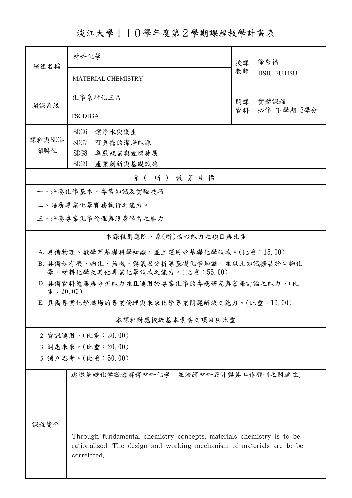淡江大學110學年度第2學期課程教學計畫表

| 課程名稱                                                                      | 材料化學<br>授課                                                                                                                                                   |          | 徐秀福                |  |  |  |  |
|---------------------------------------------------------------------------|--------------------------------------------------------------------------------------------------------------------------------------------------------------|----------|--------------------|--|--|--|--|
|                                                                           | <b>MATERIAL CHEMISTRY</b>                                                                                                                                    | 教師       | <b>HSIU-FU HSU</b> |  |  |  |  |
| 開課系級                                                                      | 化學系材化三A                                                                                                                                                      | 開課<br>資料 | 實體課程               |  |  |  |  |
|                                                                           | TSCDB3A                                                                                                                                                      |          | 必修 下學期 3學分         |  |  |  |  |
|                                                                           | SDG <sub>6</sub><br>潔淨水與衛生                                                                                                                                   |          |                    |  |  |  |  |
| 課程與SDGs                                                                   | SDG7<br>可負擔的潔淨能源                                                                                                                                             |          |                    |  |  |  |  |
| 關聯性                                                                       | SDG8<br>尊嚴就業與經濟發展                                                                                                                                            |          |                    |  |  |  |  |
|                                                                           | SDG9<br>產業創新與基礎設施                                                                                                                                            |          |                    |  |  |  |  |
| 系(所)教育目標                                                                  |                                                                                                                                                              |          |                    |  |  |  |  |
| 一、培養化學基本、專業知識及實驗技巧。                                                       |                                                                                                                                                              |          |                    |  |  |  |  |
|                                                                           | 二、培養專業化學實務執行之能力。                                                                                                                                             |          |                    |  |  |  |  |
| 三、培養專業化學倫理與終身學習之能力。                                                       |                                                                                                                                                              |          |                    |  |  |  |  |
|                                                                           | 本課程對應院、系(所)核心能力之項目與比重                                                                                                                                        |          |                    |  |  |  |  |
|                                                                           | A. 具備物理、數學等基礎科學知識,並且運用於基礎化學領域。(比重:15.00)                                                                                                                     |          |                    |  |  |  |  |
| B. 具備如有機、物化、無機、與儀器分析等基礎化學知識,並以此知識擴展於生物化<br>學、材料化學及其他專業化學領域之能力。(比重:55.00)  |                                                                                                                                                              |          |                    |  |  |  |  |
| D. 具備資料蒐集與分析能力並且運用於專業化學的專題研究與書報討論之能力。(比<br>$\hat{\mathbf{\Psi}}$ : 20.00) |                                                                                                                                                              |          |                    |  |  |  |  |
|                                                                           | E. 具備專業化學職場的專業倫理與未來化學專業問題解決之能力。(比重:10.00)                                                                                                                    |          |                    |  |  |  |  |
|                                                                           | 本課程對應校級基本素養之項目與比重                                                                                                                                            |          |                    |  |  |  |  |
|                                                                           | 2. 資訊運用。(比重:30.00)                                                                                                                                           |          |                    |  |  |  |  |
|                                                                           | 3. 洞悉未來。(比重: 20.00)                                                                                                                                          |          |                    |  |  |  |  |
|                                                                           | 5. 獨立思考。(比重:50.00)                                                                                                                                           |          |                    |  |  |  |  |
|                                                                           | 透過基礎化學觀念解釋材料化學,並演繹材料設計與其工作機制之關連性。                                                                                                                            |          |                    |  |  |  |  |
| 课程简介                                                                      |                                                                                                                                                              |          |                    |  |  |  |  |
|                                                                           | Through fundamental chemistry concepts, materials chemistry is to be<br>rationalized. The design and working mechanism of materials are to be<br>correlated. |          |                    |  |  |  |  |
|                                                                           |                                                                                                                                                              |          |                    |  |  |  |  |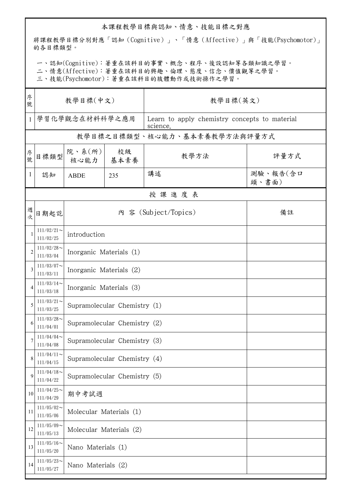## 本課程教學目標與認知、情意、技能目標之對應

將課程教學目標分別對應「認知(Cognitive)」、「情意(Affective)」與「技能(Psychomotor)」 的各目標類型。

一、認知(Cognitive):著重在該科目的事實、概念、程序、後設認知等各類知識之學習。

二、情意(Affective):著重在該科目的興趣、倫理、態度、信念、價值觀等之學習。

三、技能(Psychomotor):著重在該科目的肢體動作或技術操作之學習。

| 序<br>號         | 教學目標(中文)                   |                              |            | 教學目標(英文)                                                  |                   |  |  |  |
|----------------|----------------------------|------------------------------|------------|-----------------------------------------------------------|-------------------|--|--|--|
| $\mathbf{1}$   | 學習化學觀念在材料科學之應用             |                              |            | Learn to apply chemistry concepts to material<br>science. |                   |  |  |  |
|                |                            |                              |            | 教學目標之目標類型、核心能力、基本素養教學方法與評量方式                              |                   |  |  |  |
| 序號             | 目標類型                       | 院、系(所)<br>核心能力               | 校級<br>基本素養 | 教學方法                                                      | 評量方式              |  |  |  |
| $\mathbf{1}$   | 認知                         | <b>ABDE</b>                  | 235        | 講述                                                        | 測驗、報告(含口<br>頭、書面) |  |  |  |
|                | 授課進度表                      |                              |            |                                                           |                   |  |  |  |
| 週<br>次         | 日期起訖                       | 內 容 (Subject/Topics)<br>備註   |            |                                                           |                   |  |  |  |
|                | $111/02/21$ ~<br>111/02/25 | introduction                 |            |                                                           |                   |  |  |  |
| $\overline{2}$ | $111/02/28$ ~<br>111/03/04 | Inorganic Materials (1)      |            |                                                           |                   |  |  |  |
| 3              | $111/03/07$ ~<br>111/03/11 | Inorganic Materials (2)      |            |                                                           |                   |  |  |  |
| 4              | $111/03/14$ ~<br>111/03/18 | Inorganic Materials (3)      |            |                                                           |                   |  |  |  |
| 5              | $111/03/21$ ~<br>111/03/25 | Supramolecular Chemistry (1) |            |                                                           |                   |  |  |  |
| 6              | $111/03/28$ ~<br>111/04/01 | Supramolecular Chemistry (2) |            |                                                           |                   |  |  |  |
|                | $111/04/04$ ~<br>111/04/08 | Supramolecular Chemistry (3) |            |                                                           |                   |  |  |  |
| 8              | $111/04/11$ ~<br>111/04/15 | Supramolecular Chemistry (4) |            |                                                           |                   |  |  |  |
| 9              | $111/04/18$ ~<br>111/04/22 | Supramolecular Chemistry (5) |            |                                                           |                   |  |  |  |
| 10             | $111/04/25$ ~<br>111/04/29 | 期中考試週                        |            |                                                           |                   |  |  |  |
| 11             | $111/05/02$ ~<br>111/05/06 | Molecular Materials (1)      |            |                                                           |                   |  |  |  |
| 12             | $111/05/09$ ~<br>111/05/13 | Molecular Materials (2)      |            |                                                           |                   |  |  |  |
| 13             | $111/05/16$ ~<br>111/05/20 | Nano Materials (1)           |            |                                                           |                   |  |  |  |
| 14             | $111/05/23$ ~<br>111/05/27 | Nano Materials (2)           |            |                                                           |                   |  |  |  |